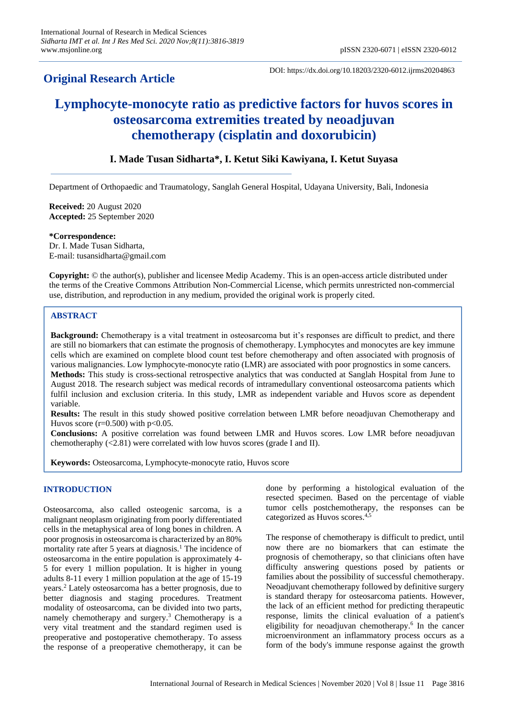# **Original Research Article**

DOI: https://dx.doi.org/10.18203/2320-6012.ijrms20204863

# **Lymphocyte-monocyte ratio as predictive factors for huvos scores in osteosarcoma extremities treated by neoadjuvan chemotherapy (cisplatin and doxorubicin)**

# **I. Made Tusan Sidharta\*, I. Ketut Siki Kawiyana, I. Ketut Suyasa**

Department of Orthopaedic and Traumatology, Sanglah General Hospital, Udayana University, Bali, Indonesia

**Received:** 20 August 2020 **Accepted:** 25 September 2020

**\*Correspondence:** Dr. I. Made Tusan Sidharta, E-mail: tusansidharta@gmail.com

**Copyright:** © the author(s), publisher and licensee Medip Academy. This is an open-access article distributed under the terms of the Creative Commons Attribution Non-Commercial License, which permits unrestricted non-commercial use, distribution, and reproduction in any medium, provided the original work is properly cited.

# **ABSTRACT**

**Background:** Chemotherapy is a vital treatment in osteosarcoma but it's responses are difficult to predict, and there are still no biomarkers that can estimate the prognosis of chemotherapy. Lymphocytes and monocytes are key immune cells which are examined on complete blood count test before chemotherapy and often associated with prognosis of various malignancies. Low lymphocyte-monocyte ratio (LMR) are associated with poor prognostics in some cancers. **Methods:** This study is cross-sectional retrospective analytics that was conducted at Sanglah Hospital from June to August 2018. The research subject was medical records of intramedullary conventional osteosarcoma patients which fulfil inclusion and exclusion criteria. In this study, LMR as independent variable and Huvos score as dependent variable.

**Results:** The result in this study showed positive correlation between LMR before neoadjuvan Chemotherapy and Huvos score ( $r=0.500$ ) with  $p<0.05$ .

**Conclusions:** A positive correlation was found between LMR and Huvos scores. Low LMR before neoadjuvan chemotheraphy (<2.81) were correlated with low huvos scores (grade I and II).

**Keywords:** Osteosarcoma, Lymphocyte-monocyte ratio, Huvos score

# **INTRODUCTION**

Osteosarcoma, also called osteogenic sarcoma, is a malignant neoplasm originating from poorly differentiated cells in the metaphysical area of long bones in children. A poor prognosis in osteosarcoma is characterized by an 80% mortality rate after 5 years at diagnosis.<sup>1</sup> The incidence of osteosarcoma in the entire population is approximately 4- 5 for every 1 million population. It is higher in young adults 8-11 every 1 million population at the age of 15-19 years.<sup>2</sup> Lately osteosarcoma has a better prognosis, due to better diagnosis and staging procedures. Treatment modality of osteosarcoma, can be divided into two parts, namely chemotherapy and surgery.<sup>3</sup> Chemotherapy is a very vital treatment and the standard regimen used is preoperative and postoperative chemotherapy. To assess the response of a preoperative chemotherapy, it can be done by performing a histological evaluation of the resected specimen. Based on the percentage of viable tumor cells postchemotherapy, the responses can be categorized as Huvos scores.4,5

The response of chemotherapy is difficult to predict, until now there are no biomarkers that can estimate the prognosis of chemotherapy, so that clinicians often have difficulty answering questions posed by patients or families about the possibility of successful chemotherapy. Neoadjuvant chemotherapy followed by definitive surgery is standard therapy for osteosarcoma patients. However, the lack of an efficient method for predicting therapeutic response, limits the clinical evaluation of a patient's eligibility for neoadjuvan chemotherapy.<sup>6</sup> In the cancer microenvironment an inflammatory process occurs as a form of the body's immune response against the growth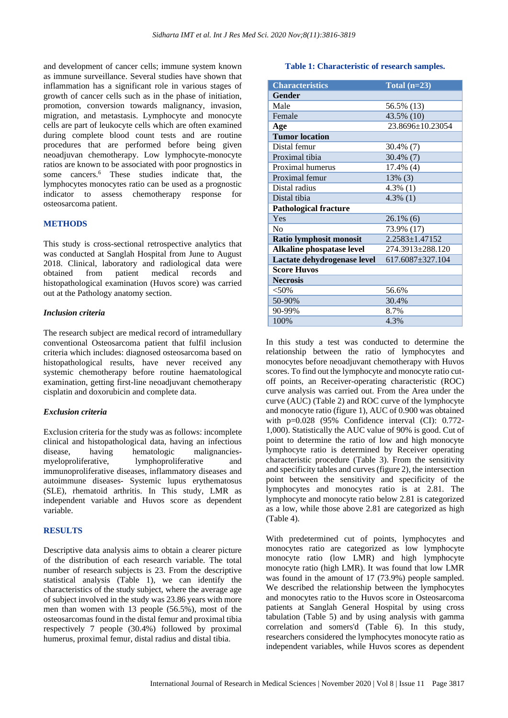and development of cancer cells; immune system known as immune surveillance. Several studies have shown that inflammation has a significant role in various stages of growth of cancer cells such as in the phase of initiation, promotion, conversion towards malignancy, invasion, migration, and metastasis. Lymphocyte and monocyte cells are part of leukocyte cells which are often examined during complete blood count tests and are routine procedures that are performed before being given neoadjuvan chemotherapy. Low lymphocyte-monocyte ratios are known to be associated with poor prognostics in some cancers.<sup>6</sup> These studies indicate that, the lymphocytes monocytes ratio can be used as a prognostic indicator to assess chemotherapy response for osteosarcoma patient.

#### **METHODS**

This study is cross-sectional retrospective analytics that was conducted at Sanglah Hospital from June to August 2018. Clinical, laboratory and radiological data were obtained from patient medical records and histopathological examination (Huvos score) was carried out at the Pathology anatomy section.

#### *Inclusion criteria*

The research subject are medical record of intramedullary conventional Osteosarcoma patient that fulfil inclusion criteria which includes: diagnosed osteosarcoma based on histopathological results, have never received any systemic chemotherapy before routine haematological examination, getting first-line neoadjuvant chemotherapy cisplatin and doxorubicin and complete data.

#### *Exclusion criteria*

Exclusion criteria for the study was as follows: incomplete clinical and histopathological data, having an infectious disease, having hematologic malignanciesmyeloproliferative, lymphoproliferative and immunoproliferative diseases, inflammatory diseases and autoimmune diseases- Systemic lupus erythematosus (SLE), rhematoid arthritis. In This study, LMR as independent variable and Huvos score as dependent variable.

## **RESULTS**

Descriptive data analysis aims to obtain a clearer picture of the distribution of each research variable. The total number of research subjects is 23. From the descriptive statistical analysis (Table 1), we can identify the characteristics of the study subject, where the average age of subject involved in the study was 23.86 years with more men than women with 13 people (56.5%), most of the osteosarcomas found in the distal femur and proximal tibia respectively 7 people (30.4%) followed by proximal humerus, proximal femur, distal radius and distal tibia.

#### **Table 1: Characteristic of research samples.**

| <b>Characteristics</b>       | Total $(n=23)$       |
|------------------------------|----------------------|
| Gender                       |                      |
| Male                         | 56.5% (13)           |
| Female                       | 43.5% (10)           |
| Age                          | 23.8696±10.23054     |
| <b>Tumor location</b>        |                      |
| Distal femur                 | 30.4% (7)            |
| Proximal tibia               | 30.4% (7)            |
| Proximal humerus             | 17.4% (4)            |
| Proximal femur               | 13% (3)              |
| Distal radius                | $4.3\%$ (1)          |
| Distal tibia                 | $4.3\%$ (1)          |
| <b>Pathological fracture</b> |                      |
| Yes                          | $26.1\%$ (6)         |
| No                           | 73.9% (17)           |
| Ratio lymphosit monosit      | $2.2583 \pm 1.47152$ |
| Alkaline phospatase level    | 274.3913±288.120     |
| Lactate dehydrogenase level  | 617.6087±327.104     |
| <b>Score Huvos</b>           |                      |
| <b>Necrosis</b>              |                      |
| $<$ 50%                      | 56.6%                |
| 50-90%                       | 30.4%                |
| 90-99%                       | 8.7%                 |
| 100%                         | 4.3%                 |

In this study a test was conducted to determine the relationship between the ratio of lymphocytes and monocytes before neoadjuvant chemotherapy with Huvos scores. To find out the lymphocyte and monocyte ratio cutoff points, an Receiver-operating characteristic (ROC) curve analysis was carried out. From the Area under the curve (AUC) (Table 2) and ROC curve of the lymphocyte and monocyte ratio (figure 1), AUC of 0.900 was obtained with p=0.028 (95% Confidence interval (CI): 0.772- 1,000). Statistically the AUC value of 90% is good. Cut of point to determine the ratio of low and high monocyte lymphocyte ratio is determined by Receiver operating characteristic procedure (Table 3). From the sensitivity and specificity tables and curves (figure 2), the intersection point between the sensitivity and specificity of the lymphocytes and monocytes ratio is at 2.81. The lymphocyte and monocyte ratio below 2.81 is categorized as a low, while those above 2.81 are categorized as high (Table 4).

With predetermined cut of points, lymphocytes and monocytes ratio are categorized as low lymphocyte monocyte ratio (low LMR) and high lymphocyte monocyte ratio (high LMR). It was found that low LMR was found in the amount of 17 (73.9%) people sampled. We described the relationship between the lymphocytes and monocytes ratio to the Huvos score in Osteosarcoma patients at Sanglah General Hospital by using cross tabulation (Table 5) and by using analysis with gamma correlation and somers'd (Table 6). In this study, researchers considered the lymphocytes monocyte ratio as independent variables, while Huvos scores as dependent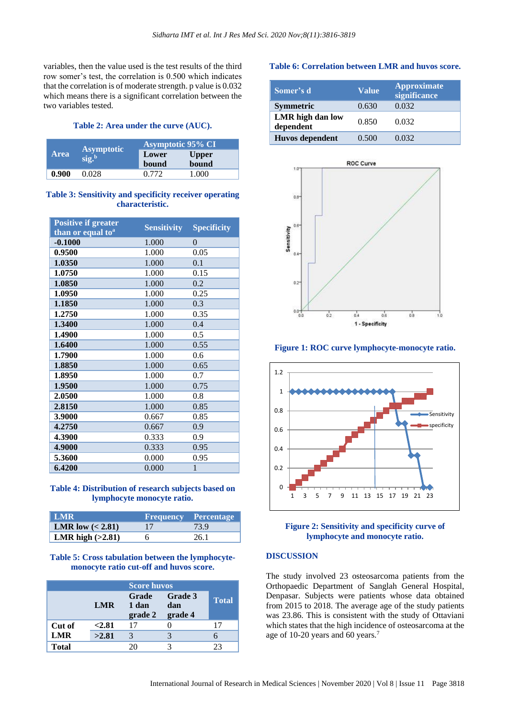variables, then the value used is the test results of the third row somer's test, the correlation is 0.500 which indicates that the correlation is of moderate strength. p value is 0.032 which means there is a significant correlation between the two variables tested.

#### **Table 2: Area under the curve (AUC).**

|             |                                                          | <b>Asymptotic 95% CI</b> |              |
|-------------|----------------------------------------------------------|--------------------------|--------------|
| <b>Area</b> | <b>Asymptotic</b><br>$\overline{\text{sig.}}^{\text{b}}$ | Lower                    | <b>Upper</b> |
|             |                                                          | bound                    | bound        |
| 0.900       | 0.028                                                    | 0.772                    | 1.000        |

## **Table 3: Sensitivity and specificity receiver operating characteristic.**

| <b>Positive if greater</b>    | <b>Sensitivity</b> | <b>Specificity</b> |
|-------------------------------|--------------------|--------------------|
| than or equal to <sup>a</sup> |                    |                    |
| $-0.1000$                     | 1.000              | $\theta$           |
| 0.9500                        | 1.000              | 0.05               |
| 1.0350                        | 1.000              | 0.1                |
| 1.0750                        | 1.000              | 0.15               |
| 1.0850                        | 1.000              | 0.2                |
| 1.0950                        | 1.000              | 0.25               |
| 1.1850                        | 1.000              | 0.3                |
| 1.2750                        | 1.000              | 0.35               |
| 1.3400                        | 1.000              | 0.4                |
| 1.4900                        | 1.000              | 0.5                |
| 1.6400                        | 1.000              | 0.55               |
| 1.7900                        | 1.000              | 0.6                |
| 1.8850                        | 1.000              | 0.65               |
| 1.8950                        | 1.000              | 0.7                |
| 1.9500                        | 1.000              | 0.75               |
| 2.0500                        | 1.000              | 0.8                |
| 2.8150                        | 1.000              | 0.85               |
| 3.9000                        | 0.667              | 0.85               |
| 4.2750                        | 0.667              | 0.9                |
| 4.3900                        | 0.333              | 0.9                |
| 4.9000                        | 0.333              | 0.95               |
| 5.3600                        | 0.000              | 0.95               |
| 6.4200                        | 0.000              | $\mathbf{1}$       |

#### **Table 4: Distribution of research subjects based on lymphocyte monocyte ratio.**

| <b>LMR</b>         |    | <b>Frequency Percentage</b> |
|--------------------|----|-----------------------------|
| LMR low $(2.81)$   | 17 | 73.9                        |
| LMR high $(>2.81)$ |    | 26.1                        |

#### **Table 5: Cross tabulation between the lymphocytemonocyte ratio cut-off and huvos score.**

|              |            | <b>Score huvos</b>        |                           |              |
|--------------|------------|---------------------------|---------------------------|--------------|
|              | <b>LMR</b> | Grade<br>1 dan<br>grade 2 | Grade 3<br>dan<br>grade 4 | <b>Total</b> |
| Cut of       | < 2.81     | 17                        |                           | 17           |
| <b>LMR</b>   | >2.81      |                           |                           |              |
| <b>Total</b> |            | 20                        |                           | 23           |

#### **Table 6: Correlation between LMR and huvos score.**

| Somer's d                     | Value | Approximate<br>significance |
|-------------------------------|-------|-----------------------------|
| <b>Symmetric</b>              | 0.630 | 0.032                       |
| LMR high dan low<br>dependent | 0.850 | 0.032                       |
| Huvos dependent               | 0.500 | 0.032                       |



#### **Figure 1: ROC curve lymphocyte-monocyte ratio.**



#### **Figure 2: Sensitivity and specificity curve of lymphocyte and monocyte ratio.**

## **DISCUSSION**

The study involved 23 osteosarcoma patients from the Orthopaedic Department of Sanglah General Hospital, Denpasar. Subjects were patients whose data obtained from 2015 to 2018. The average age of the study patients was 23.86. This is consistent with the study of Ottaviani which states that the high incidence of osteosarcoma at the age of 10-20 years and 60 years.<sup>7</sup>